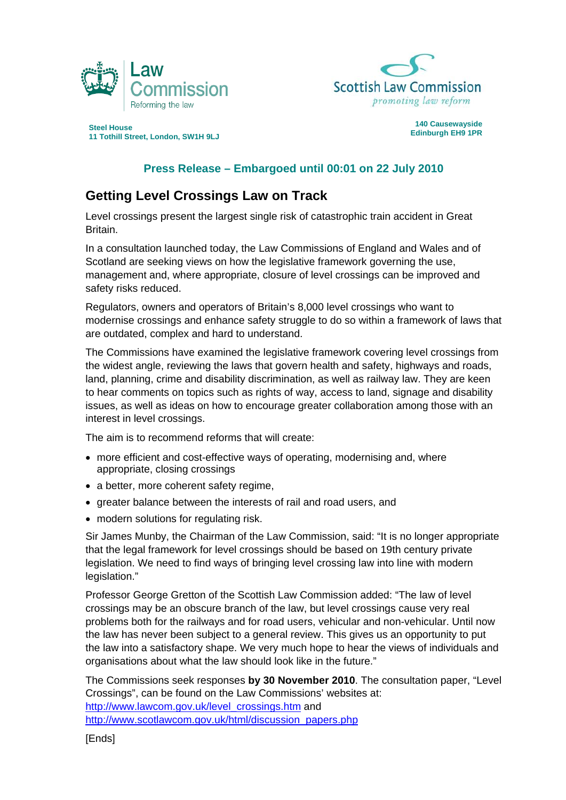



**Edinburgh EH9 1PR Steel House 11 Tothill Street, London, SW1H 9LJ** 

## **140 Causewayside**

## **Press Release – Embargoed until 00:01 on 22 July 2010**

## **Getting Level Crossings Law on Track**

Level crossings present the largest single risk of catastrophic train accident in Great Britain.

In a consultation launched today, the Law Commissions of England and Wales and of Scotland are seeking views on how the legislative framework governing the use, management and, where appropriate, closure of level crossings can be improved and safety risks reduced.

Regulators, owners and operators of Britain's 8,000 level crossings who want to modernise crossings and enhance safety struggle to do so within a framework of laws that are outdated, complex and hard to understand.

The Commissions have examined the legislative framework covering level crossings from the widest angle, reviewing the laws that govern health and safety, highways and roads, land, planning, crime and disability discrimination, as well as railway law. They are keen to hear comments on topics such as rights of way, access to land, signage and disability issues, as well as ideas on how to encourage greater collaboration among those with an interest in level crossings.

The aim is to recommend reforms that will create:

- more efficient and cost-effective ways of operating, modernising and, where appropriate, closing crossings
- a better, more coherent safety regime,
- greater balance between the interests of rail and road users, and
- modern solutions for regulating risk.

Sir James Munby, the Chairman of the Law Commission, said: "It is no longer appropriate that the legal framework for level crossings should be based on 19th century private legislation. We need to find ways of bringing level crossing law into line with modern legislation."

Professor George Gretton of the Scottish Law Commission added: "The law of level crossings may be an obscure branch of the law, but level crossings cause very real problems both for the railways and for road users, vehicular and non-vehicular. Until now the law has never been subject to a general review. This gives us an opportunity to put the law into a satisfactory shape. We very much hope to hear the views of individuals and organisations about what the law should look like in the future."

The Commissions seek responses **by 30 November 2010**. The consultation paper, "Level Crossings", can be found on the Law Commissions' websites at: [http://www.lawcom.gov.uk/level\\_crossings.htm](http://www.lawcom.gov.uk/level_crossings.htm) and [http://www.scotlawcom.gov.uk/html/discussion\\_papers.php](http://www.scotlawcom.gov.uk/html/discussion_papers.php)

[Ends]